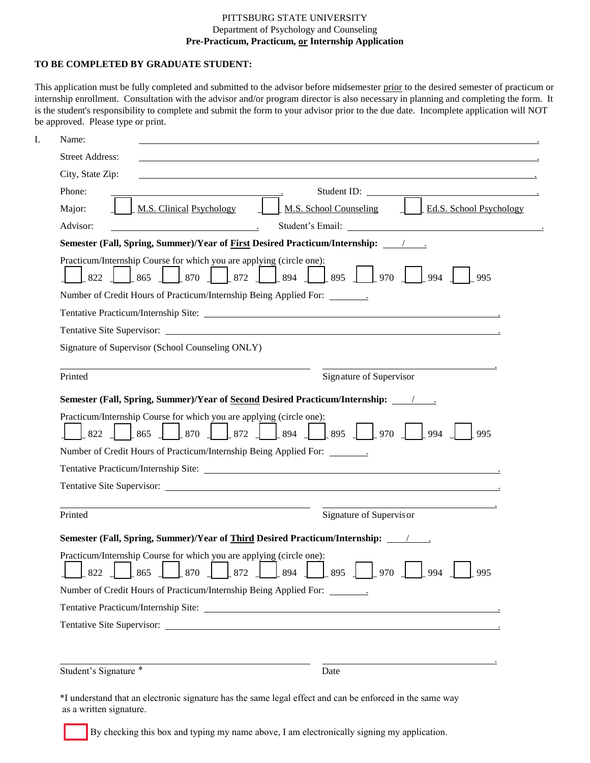## PITTSBURG STATE UNIVERSITY Department of Psychology and Counseling **Pre-Practicum, Practicum, or Internship Application**

## **TO BE COMPLETED BY GRADUATE STUDENT:**

This application must be fully completed and submitted to the advisor before midsemester prior to the desired semester of practicum or internship enrollment. Consultation with the advisor and/or program director is also necessary in planning and completing the form. It is the student's responsibility to complete and submit the form to your advisor prior to the due date. Incomplete application will NOT be approved. Please type or print.

| Name:                  |                                                                                                                                                                                                                                                                                                       |
|------------------------|-------------------------------------------------------------------------------------------------------------------------------------------------------------------------------------------------------------------------------------------------------------------------------------------------------|
| <b>Street Address:</b> |                                                                                                                                                                                                                                                                                                       |
| City, State Zip:       | and the control of the control of the control of the control of the control of the control of the control of the                                                                                                                                                                                      |
| Phone:                 | Student ID:<br>the contract of the contract of the contract of the contract of the contract of                                                                                                                                                                                                        |
| Major:                 | M.S. School Counseling<br><b>Ed.S. School Psychology</b><br><b>M.S. Clinical Psychology</b>                                                                                                                                                                                                           |
| Advisor:               | <u> 1989 - Johann Barbara, martin eta politikar</u>                                                                                                                                                                                                                                                   |
|                        | Semester (Fall, Spring, Summer)/Year of First Desired Practicum/Internship: /                                                                                                                                                                                                                         |
| 822                    | Practicum/Internship Course for which you are applying (circle one):<br>870   872   894   895   970<br>$\frac{1865}{ }$<br>994<br>995                                                                                                                                                                 |
|                        | Number of Credit Hours of Practicum/Internship Being Applied For: ______________                                                                                                                                                                                                                      |
|                        |                                                                                                                                                                                                                                                                                                       |
|                        |                                                                                                                                                                                                                                                                                                       |
|                        | Signature of Supervisor (School Counseling ONLY)                                                                                                                                                                                                                                                      |
|                        |                                                                                                                                                                                                                                                                                                       |
|                        | Signature of Supervisor                                                                                                                                                                                                                                                                               |
|                        |                                                                                                                                                                                                                                                                                                       |
|                        | Semester (Fall, Spring, Summer)/Year of Second Desired Practicum/Internship: _______________________                                                                                                                                                                                                  |
| $\vert$ 865<br>822     | Practicum/Internship Course for which you are applying (circle one):<br>$\frac{1}{994}$<br>995                                                                                                                                                                                                        |
|                        | Number of Credit Hours of Practicum/Internship Being Applied For: ______________                                                                                                                                                                                                                      |
| Printed                |                                                                                                                                                                                                                                                                                                       |
|                        |                                                                                                                                                                                                                                                                                                       |
|                        |                                                                                                                                                                                                                                                                                                       |
|                        | Signature of Supervisor                                                                                                                                                                                                                                                                               |
|                        | Semester (Fall, Spring, Summer)/Year of Third Desired Practicum/Internship: ________________________                                                                                                                                                                                                  |
| 822                    | Practicum/Internship Course for which you are applying (circle one):<br>TIM TIM TIM T<br>the company of the company of<br>$\left\lfloor 894 \right\rfloor$<br>$\begin{bmatrix} 895 \end{bmatrix}$ $\begin{bmatrix} 970 \end{bmatrix}$<br>870<br>$\left\lfloor 872 \right\rfloor$<br>994<br>865<br>995 |
|                        | Number of Credit Hours of Practicum/Internship Being Applied For: ______________                                                                                                                                                                                                                      |
| Printed                |                                                                                                                                                                                                                                                                                                       |

\*I understand that an electronic signature has the same legal effect and can be enforced in the same way as a written signature.

By checking this box and typing my name above, I am electronically signing my application.